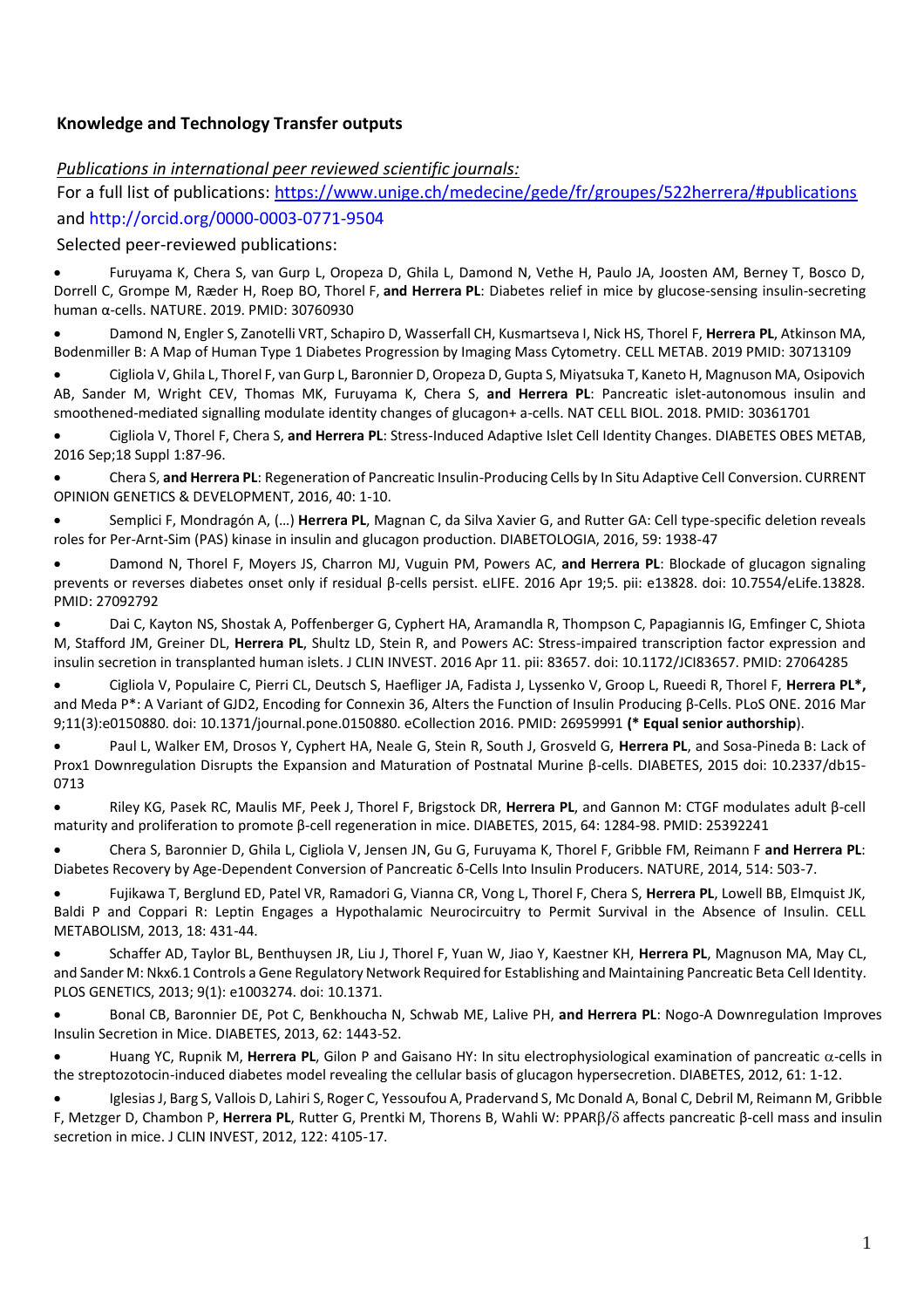#### **Knowledge and Technology Transfer outputs**

#### *Publications in international peer reviewed scientific journals:*

For a full list of publications:<https://www.unige.ch/medecine/gede/fr/groupes/522herrera/#publications> and http://orcid.org/0000-0003-0771-9504

Selected peer-reviewed publications:

• Furuyama K, Chera S, van Gurp L, Oropeza D, Ghila L, Damond N, Vethe H, Paulo JA, Joosten AM, Berney T, Bosco D, Dorrell C, Grompe M, Ræder H, Roep BO, Thorel F, **and Herrera PL**: [Diabetes relief in mice by glucose-sensing insulin-secreting](https://www.ncbi.nlm.nih.gov/pubmed/30760930)  [human α](https://www.ncbi.nlm.nih.gov/pubmed/30760930)-cells. NATURE. 2019. PMID: 30760930

• Damond N, Engler S, Zanotelli VRT, Schapiro D, Wasserfall CH, Kusmartseva I, Nick HS, Thorel F, **Herrera PL**, Atkinson MA, Bodenmiller B[: A Map of Human Type 1 Diabetes Progression by Imaging Mass Cytometry.](https://www.ncbi.nlm.nih.gov/pubmed/30713109) CELL METAB. 2019 PMID: 30713109

• Cigliola V, Ghila L, Thorel F, van Gurp L, Baronnier D, Oropeza D, Gupta S, Miyatsuka T, Kaneto H, Magnuson MA, Osipovich AB, Sander M, Wright CEV, Thomas MK, Furuyama K, Chera S, **and Herrera PL**: Pancreatic islet-autonomous insulin and smoothened-mediated signalling modulate identity changes of glucagon+ a-cells. NAT CELL BIOL. 2018. PMID: 30361701

• Cigliola V, Thorel F, Chera S, **and Herrera PL**: Stress-Induced Adaptive Islet Cell Identity Changes. DIABETES OBES METAB, 2016 Sep;18 Suppl 1:87-96.

• Chera S, **and Herrera PL**: Regeneration of Pancreatic Insulin-Producing Cells by In Situ Adaptive Cell Conversion. CURRENT OPINION GENETICS & DEVELOPMENT, 2016, 40: 1-10.

• Semplici F, Mondragón A, (…) **Herrera PL**, Magnan C, da Silva Xavier G, and Rutter GA: Cell type-specific deletion reveals roles for Per-Arnt-Sim (PAS) kinase in insulin and glucagon production. DIABETOLOGIA, 2016, 59: 1938-47

• Damond N, Thorel F, Moyers JS, Charron MJ, Vuguin PM, Powers AC, **and Herrera PL**: Blockade of glucagon signaling prevents or reverses diabetes onset only if residual β-cells persist. eLIFE. 2016 Apr 19;5. pii: e13828. doi: 10.7554/eLife.13828. PMID: 27092792

• Dai C, Kayton NS, Shostak A, Poffenberger G, Cyphert HA, Aramandla R, Thompson C, Papagiannis IG, Emfinger C, Shiota M, Stafford JM, Greiner DL, **Herrera PL**, Shultz LD, Stein R, and Powers AC: Stress-impaired transcription factor expression and insulin secretion in transplanted human islets. J CLIN INVEST. 2016 Apr 11. pii: 83657. doi: 10.1172/JCI83657. PMID: 27064285

• Cigliola V, Populaire C, Pierri CL, Deutsch S, Haefliger JA, Fadista J, Lyssenko V, Groop L, Rueedi R, Thorel F, **Herrera PL\*,** and Meda P\*: A Variant of GJD2, Encoding for Connexin 36, Alters the Function of Insulin Producing β-Cells. PLoS ONE. 2016 Mar 9;11(3):e0150880. doi: 10.1371/journal.pone.0150880. eCollection 2016. PMID: 26959991 **(\* Equal senior authorship**).

• Paul L, Walker EM, Drosos Y, Cyphert HA, Neale G, Stein R, South J, Grosveld G, **Herrera PL**, and Sosa-Pineda B: Lack of Prox1 Downregulation Disrupts the Expansion and Maturation of Postnatal Murine β-cells. DIABETES, 2015 doi: 10.2337/db15- 0713

• Riley KG, Pasek RC, Maulis MF, Peek J, Thorel F, Brigstock DR, **Herrera PL**, and Gannon M: CTGF modulates adult β-cell maturity and proliferation to promote β-cell regeneration in mice. DIABETES, 2015, 64: 1284-98. PMID: 25392241

• Chera S, Baronnier D, Ghila L, Cigliola V, Jensen JN, Gu G, Furuyama K, Thorel F, Gribble FM, Reimann F **and Herrera PL**: Diabetes Recovery by Age-Dependent Conversion of Pancreatic δ-Cells Into Insulin Producers. NATURE, 2014, 514: 503-7.

• Fujikawa T, Berglund ED, Patel VR, Ramadori G, Vianna CR, Vong L, Thorel F, Chera S, **Herrera PL**, Lowell BB, Elmquist JK, Baldi P and Coppari R: Leptin Engages a Hypothalamic Neurocircuitry to Permit Survival in the Absence of Insulin. CELL METABOLISM, 2013, 18: 431-44.

• Schaffer AD, Taylor BL, Benthuysen JR, Liu J, Thorel F, Yuan W, Jiao Y, Kaestner KH, **Herrera PL**, Magnuson MA, May CL, and Sander M: Nkx6.1 Controls a Gene Regulatory Network Required for Establishing and Maintaining Pancreatic Beta Cell Identity. PLOS GENETICS, 2013; 9(1): e1003274. doi: 10.1371.

• Bonal CB, Baronnier DE, Pot C, Benkhoucha N, Schwab ME, Lalive PH, **and Herrera PL**: Nogo-A Downregulation Improves Insulin Secretion in Mice. DIABETES, 2013, 62: 1443-52.

Huang YC, Rupnik M, Herrera PL, Gilon P and Gaisano HY: In situ electrophysiological examination of pancreatic α-cells in the streptozotocin-induced diabetes model revealing the cellular basis of glucagon hypersecretion. DIABETES, 2012, 61: 1-12.

• Iglesias J, Barg S, Vallois D, Lahiri S, Roger C, Yessoufou A, Pradervand S, Mc Donald A, Bonal C, Debril M, Reimann M, Gribble F, Metzger D, Chambon P, **Herrera PL**, Rutter G, Prentki M, Thorens B, Wahli W: PPAR/ affects pancreatic β-cell mass and insulin secretion in mice. J CLIN INVEST, 2012, 122: 4105-17.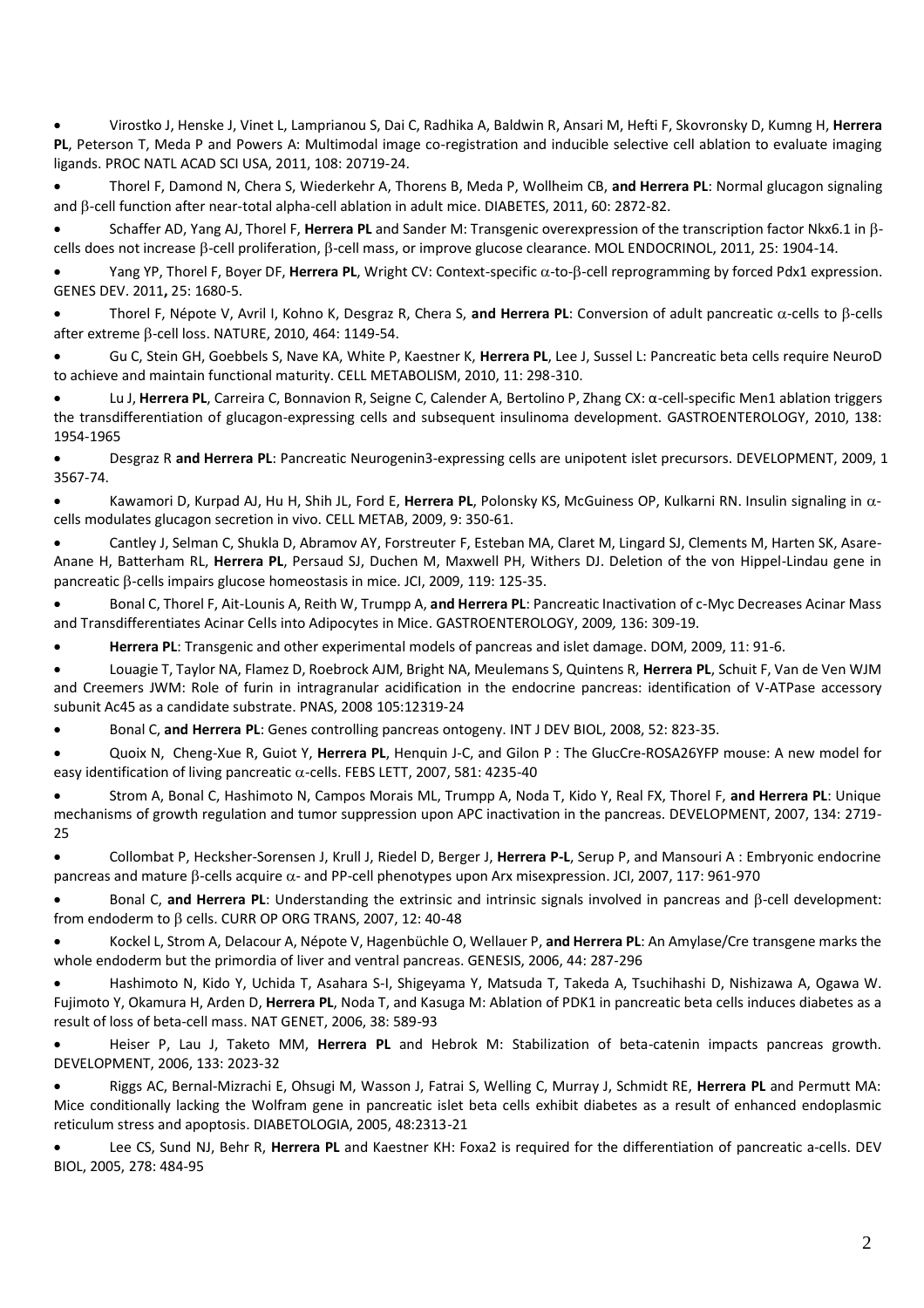• Virostko J, Henske J, Vinet L, Lamprianou S, Dai C, Radhika A, Baldwin R, Ansari M, Hefti F, Skovronsky D, Kumng H, **Herrera PL**, Peterson T, Meda P and Powers A: Multimodal image co-registration and inducible selective cell ablation to evaluate imaging ligands. PROC NATL ACAD SCI USA, 2011, 108: 20719-24.

• Thorel F, Damond N, Chera S, Wiederkehr A, Thorens B, Meda P, Wollheim CB, **and Herrera PL**: Normal glucagon signaling and B-cell function after near-total alpha-cell ablation in adult mice. DIABETES, 2011, 60: 2872-82.

• Schaffer AD, Yang AJ, Thorel F, **Herrera PL** and Sander M: Transgenic overexpression of the transcription factor Nkx6.1 in cells does not increase  $\beta$ -cell proliferation,  $\beta$ -cell mass, or improve glucose clearance. MOL ENDOCRINOL, 2011, 25: 1904-14.

Yang YP, Thorel F, Boyer DF, Herrera PL, Wright CV: Context-specific  $\alpha$ -to- $\beta$ [-cell reprogramming by forced Pdx1 expression.](http://www.ncbi.nlm.nih.gov/pubmed/21852533) GENES DEV. 2011**,** 25: 1680-5.

Thorel F, Népote V, Avril I, Kohno K, Desgraz R, Chera S, and Herrera PL: Conversion of adult pancreatic  $\alpha$ -cells to  $\beta$ -cells after extreme  $\beta$ -cell loss. NATURE, 2010, 464: 1149-54.

• Gu C, Stein GH, Goebbels S, Nave KA, White P, Kaestner K, **Herrera PL**, Lee J, Sussel L: Pancreatic beta cells require NeuroD to achieve and maintain functional maturity. CELL METABOLISM, 2010, 11: 298-310.

• Lu J, **Herrera PL**, Carreira C, Bonnavion R, Seigne C, Calender A, Bertolino P, Zhang CX: α-cell-specific Men1 ablation triggers the transdifferentiation of glucagon-expressing cells and subsequent insulinoma development. GASTROENTEROLOGY, 2010, 138: 1954-1965

• Desgraz R **and Herrera PL**: Pancreatic Neurogenin3-expressing cells are unipotent islet precursors. DEVELOPMENT, 2009, 136: 3567-74.

• Kawamori D, Kurpad AJ, Hu H, Shih JL, Ford E, **Herrera PL**, Polonsky KS, McGuiness OP, Kulkarni RN. Insulin signaling in cells modulates glucagon secretion in vivo. CELL METAB, 2009, 9: 350-61.

• Cantley J, Selman C, Shukla D, Abramov AY, Forstreuter F, Esteban MA, Claret M, Lingard SJ, Clements M, Harten SK, Asare-Anane H, Batterham RL, **Herrera PL**, Persaud SJ, Duchen M, Maxwell PH, Withers DJ. Deletion of the von Hippel-Lindau gene in pancreatic  $\beta$ -cells impairs glucose homeostasis in mice. JCI, 2009, 119: 125-35.

• Bonal C, Thorel F, Ait-Lounis A, Reith W, Trumpp A, **and Herrera PL**: Pancreatic Inactivation of c-Myc Decreases Acinar Mass and Transdifferentiates Acinar Cells into Adipocytes in Mice. GASTROENTEROLOGY, 2009*,* 136: 309-19.

• **Herrera PL**: Transgenic and other experimental models of pancreas and islet damage. DOM, 2009, 11: 91-6.

• Louagie T, Taylor NA, Flamez D, Roebrock AJM, Bright NA, Meulemans S, Quintens R, **Herrera PL**, Schuit F, Van de Ven WJM and Creemers JWM: Role of furin in intragranular acidification in the endocrine pancreas: identification of V-ATPase accessory subunit Ac45 as a candidate substrate. PNAS, 2008 105:12319-24

• Bonal C, **and Herrera PL**: Genes controlling pancreas ontogeny. INT J DEV BIOL, 2008, 52: 823-35.

• Quoix N, Cheng-Xue R, Guiot Y, **Herrera PL**, Henquin J-C, and Gilon P : The GlucCre-ROSA26YFP mouse: A new model for easy identification of living pancreatic  $\alpha$ -cells. FEBS LETT, 2007, 581: 4235-40

• Strom A, Bonal C, Hashimoto N, Campos Morais ML, Trumpp A, Noda T, Kido Y, Real FX, Thorel F, **and Herrera PL**: Unique mechanisms of growth regulation and tumor suppression upon APC inactivation in the pancreas. DEVELOPMENT, 2007, 134: 2719- 25

• Collombat P, Hecksher-Sorensen J, Krull J, Riedel D, Berger J, **Herrera P-L**, Serup P, and Mansouri A : Embryonic endocrine pancreas and mature  $\beta$ -cells acquire  $\alpha$ - and PP-cell phenotypes upon Arx misexpression. JCI, 2007, 117: 961-970

Bonal C, **and Herrera PL**: Understanding the extrinsic and intrinsic signals involved in pancreas and B-cell development: from endoderm to  $\beta$  cells. CURR OP ORG TRANS, 2007, 12: 40-48

• Kockel L, Strom A, Delacour A, Népote V, Hagenbüchle O, Wellauer P, **and Herrera PL**: An Amylase/Cre transgene marks the whole endoderm but the primordia of liver and ventral pancreas. GENESIS, 2006, 44: 287-296

• Hashimoto N, Kido Y, Uchida T, Asahara S-I, Shigeyama Y, Matsuda T, Takeda A, Tsuchihashi D, Nishizawa A, Ogawa W. Fujimoto Y, Okamura H, Arden D, **Herrera PL**, Noda T, and Kasuga M: Ablation of PDK1 in pancreatic beta cells induces diabetes as a result of loss of beta-cell mass. NAT GENET, 2006, 38: 589-93

• Heiser P, Lau J, Taketo MM, **Herrera PL** and Hebrok M: Stabilization of beta-catenin impacts pancreas growth. DEVELOPMENT, 2006, 133: 2023-32

• Riggs AC, Bernal-Mizrachi E, Ohsugi M, Wasson J, Fatrai S, Welling C, Murray J, Schmidt RE, **Herrera PL** and Permutt MA: Mice conditionally lacking the Wolfram gene in pancreatic islet beta cells exhibit diabetes as a result of enhanced endoplasmic reticulum stress and apoptosis. DIABETOLOGIA, 2005, 48:2313-21

• Lee CS, Sund NJ, Behr R, **Herrera PL** and Kaestner KH: Foxa2 is required for the differentiation of pancreatic a-cells. DEV BIOL, 2005, 278: 484-95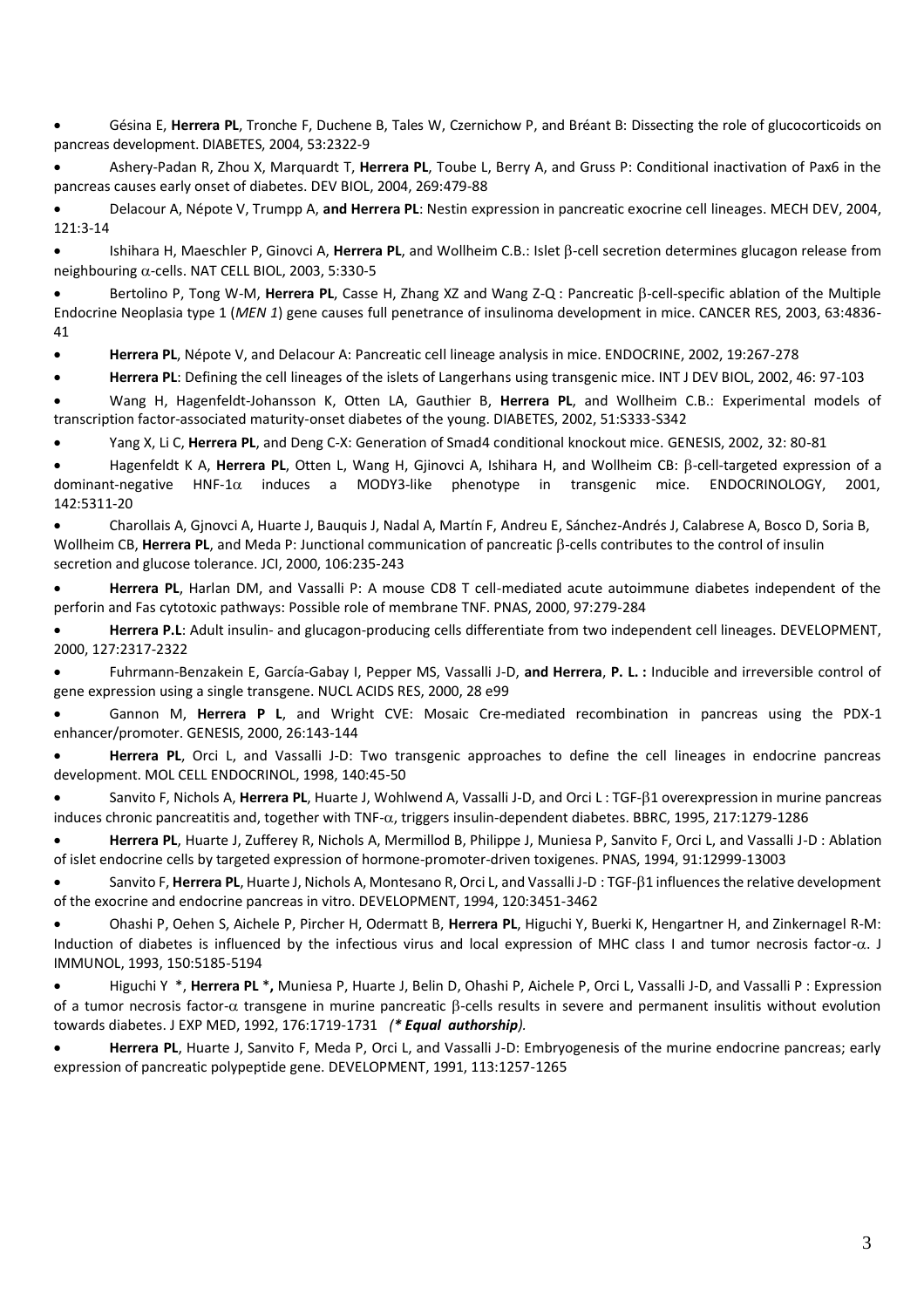• Gésina E, **Herrera PL**, Tronche F, Duchene B, Tales W, Czernichow P, and Bréant B: Dissecting the role of glucocorticoids on pancreas development. DIABETES, 2004, 53:2322-9

• Ashery-Padan R, Zhou X, Marquardt T, **Herrera PL**, Toube L, Berry A, and Gruss P: Conditional inactivation of Pax6 in the pancreas causes early onset of diabetes. DEV BIOL, 2004, 269:479-88

• Delacour A, Népote V, Trumpp A, **and Herrera PL**: Nestin expression in pancreatic exocrine cell lineages. MECH DEV, 2004, 121:3-14

Ishihara H, Maeschler P, Ginovci A, Herrera PL, and Wollheim C.B.: Islet β-cell secretion determines glucagon release from neighbouring  $\alpha$ -cells. NAT CELL BIOL, 2003, 5:330-5

Bertolino P, Tong W-M, Herrera PL, Casse H, Zhang XZ and Wang Z-Q : Pancreatic B-cell-specific ablation of the Multiple Endocrine Neoplasia type 1 (*MEN 1*) gene causes full penetrance of insulinoma development in mice. CANCER RES, 2003, 63:4836- 41

• **Herrera PL**, Népote V, and Delacour A: Pancreatic cell lineage analysis in mice. ENDOCRINE, 2002, 19:267-278

• **Herrera PL**: Defining the cell lineages of the islets of Langerhans using transgenic mice. INT J DEV BIOL, 2002, 46: 97-103

• Wang H, Hagenfeldt-Johansson K, Otten LA, Gauthier B, **Herrera PL**, and Wollheim C.B.: Experimental models of transcription factor-associated maturity-onset diabetes of the young. DIABETES, 2002, 51:S333-S342

• Yang X, Li C, **Herrera PL**, and Deng C-X: Generation of Smad4 conditional knockout mice. GENESIS, 2002, 32: 80-81

• Hagenfeldt K A, Herrera PL, Otten L, Wang H, Gjinovci A, Ishihara H, and Wollheim CB: β-cell-targeted expression of a dominant-negative HNF-1 $\alpha$  induces a MODY3-like phenotype in transgenic mice. ENDOCRINOLOGY, 2001, 142:5311-20

• Charollais A, Gjnovci A, Huarte J, Bauquis J, Nadal A, Martín F, Andreu E, Sánchez-Andrés J, Calabrese A, Bosco D, Soria B, Wollheim CB, **Herrera PL**, and Meda P: Junctional communication of pancreatic B-cells contributes to the control of insulin secretion and glucose tolerance. JCI, 2000, 106:235-243

• **Herrera PL**, Harlan DM, and Vassalli P: A mouse CD8 T cell-mediated acute autoimmune diabetes independent of the perforin and Fas cytotoxic pathways: Possible role of membrane TNF. PNAS, 2000, 97:279-284

• **Herrera P.L**: Adult insulin- and glucagon-producing cells differentiate from two independent cell lineages. DEVELOPMENT, 2000, 127:2317-2322

• Fuhrmann-Benzakein E, García-Gabay I, Pepper MS, Vassalli J-D, **and Herrera**, **P. L. :** Inducible and irreversible control of gene expression using a single transgene. NUCL ACIDS RES, 2000, 28 e99

• Gannon M, **Herrera P L**, and Wright CVE: Mosaic Cre-mediated recombination in pancreas using the PDX-1 enhancer/promoter. GENESIS, 2000, 26:143-144

• **Herrera PL**, Orci L, and Vassalli J-D: Two transgenic approaches to define the cell lineages in endocrine pancreas development. MOL CELL ENDOCRINOL, 1998, 140:45-50

• Sanvito F, Nichols A, **Herrera PL**, Huarte J, Wohlwend A, Vassalli J-D, and Orci L : TGF-1 overexpression in murine pancreas induces chronic pancreatitis and, together with TNF- $\alpha$ , triggers insulin-dependent diabetes. BBRC, 1995, 217:1279-1286

• **Herrera PL**, Huarte J, Zufferey R, Nichols A, Mermillod B, Philippe J, Muniesa P, Sanvito F, Orci L, and Vassalli J-D : Ablation of islet endocrine cells by targeted expression of hormone-promoter-driven toxigenes. PNAS, 1994, 91:12999-13003

Sanvito F, Herrera PL, Huarte J, Nichols A, Montesano R, Orci L, and Vassalli J-D: TGF- $\beta$ 1 influences the relative development of the exocrine and endocrine pancreas in vitro. DEVELOPMENT, 1994, 120:3451-3462

• Ohashi P, Oehen S, Aichele P, Pircher H, Odermatt B, **Herrera PL**, Higuchi Y, Buerki K, Hengartner H, and Zinkernagel R-M: Induction of diabetes is influenced by the infectious virus and local expression of MHC class I and tumor necrosis factor- $\alpha$ . J IMMUNOL, 1993, 150:5185-5194

• Higuchi Y \*, **Herrera PL** \***,** Muniesa P, Huarte J, Belin D, Ohashi P, Aichele P, Orci L, Vassalli J-D, and Vassalli P : Expression of a tumor necrosis factor- $\alpha$  transgene in murine pancreatic  $\beta$ -cells results in severe and permanent insulitis without evolution towards diabetes. J EXP MED, 1992, 176:1719-1731 *(\* Equal authorship).*

• **Herrera PL**, Huarte J, Sanvito F, Meda P, Orci L, and Vassalli J-D: Embryogenesis of the murine endocrine pancreas; early expression of pancreatic polypeptide gene. DEVELOPMENT, 1991, 113:1257-1265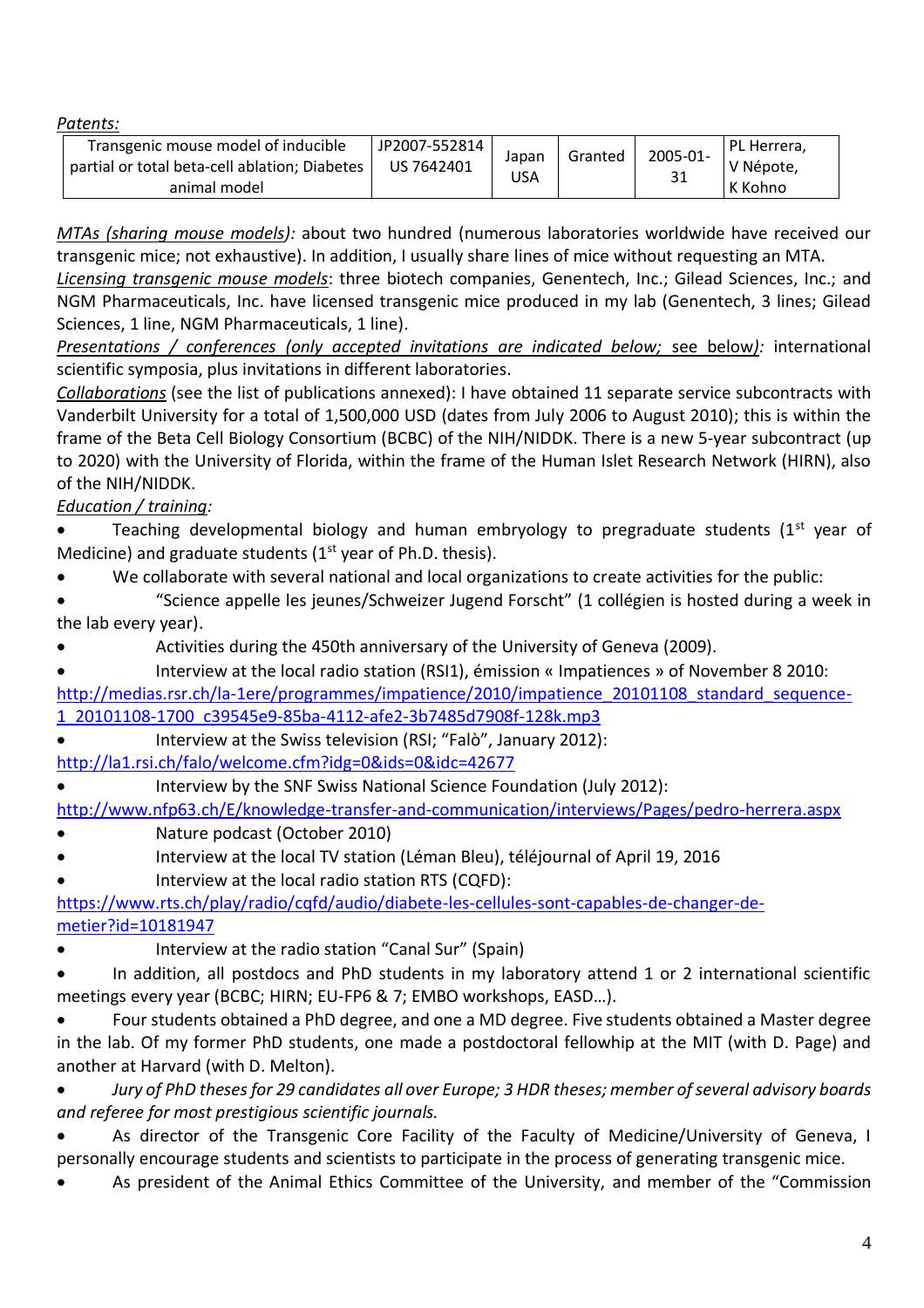*Patents:*

| Transgenic mouse model of inducible<br>JP2007-552814<br>2005-01-<br>Granted<br>Japan<br>partial or total beta-cell ablation; Diabetes<br>US 7642401<br>31<br>USA<br>animal model |
|----------------------------------------------------------------------------------------------------------------------------------------------------------------------------------|
|----------------------------------------------------------------------------------------------------------------------------------------------------------------------------------|

*MTAs (sharing mouse models):* about two hundred (numerous laboratories worldwide have received our transgenic mice; not exhaustive). In addition, I usually share lines of mice without requesting an MTA.

*Licensing transgenic mouse models*: three biotech companies, Genentech, Inc.; Gilead Sciences, Inc.; and NGM Pharmaceuticals, Inc. have licensed transgenic mice produced in my lab (Genentech, 3 lines; Gilead Sciences, 1 line, NGM Pharmaceuticals, 1 line).

*Presentations / conferences (only accepted invitations are indicated below;* see below*):* international scientific symposia, plus invitations in different laboratories.

*Collaborations* (see the list of publications annexed): I have obtained 11 separate service subcontracts with Vanderbilt University for a total of 1,500,000 USD (dates from July 2006 to August 2010); this is within the frame of the Beta Cell Biology Consortium (BCBC) of the NIH/NIDDK. There is a new 5-year subcontract (up to 2020) with the University of Florida, within the frame of the Human Islet Research Network (HIRN), also of the NIH/NIDDK.

# *Education / training:*

Teaching developmental biology and human embryology to pregraduate students  $(1<sup>st</sup>$  year of Medicine) and graduate students  $(1<sup>st</sup>$  year of Ph.D. thesis).

• We collaborate with several national and local organizations to create activities for the public:

• "Science appelle les jeunes/Schweizer Jugend Forscht" (1 collégien is hosted during a week in the lab every year).

• Activities during the 450th anniversary of the University of Geneva (2009).

• Interview at the local radio station (RSI1), émission « Impatiences » of November 8 2010:

[http://medias.rsr.ch/la-1ere/programmes/impatience/2010/impatience\\_20101108\\_standard\\_sequence-](http://medias.rsr.ch/la-1ere/programmes/impatience/2010/impatience_20101108_standard_sequence-1_20101108-1700_c39545e9-85ba-4112-afe2-3b7485d7908f-128k.mp3)[1\\_20101108-1700\\_c39545e9-85ba-4112-afe2-3b7485d7908f-128k.mp3](http://medias.rsr.ch/la-1ere/programmes/impatience/2010/impatience_20101108_standard_sequence-1_20101108-1700_c39545e9-85ba-4112-afe2-3b7485d7908f-128k.mp3)

• Interview at the Swiss television (RSI; "Falò", January 2012):

<http://la1.rsi.ch/falo/welcome.cfm?idg=0&ids=0&idc=42677>

• Interview by the SNF Swiss National Science Foundation (July 2012):

<http://www.nfp63.ch/E/knowledge-transfer-and-communication/interviews/Pages/pedro-herrera.aspx>

- Nature podcast (October 2010)
- Interview at the local TV station (Léman Bleu), téléjournal of April 19, 2016
- Interview at the local radio station RTS (CQFD):

[https://www.rts.ch/play/radio/cqfd/audio/diabete-les-cellules-sont-capables-de-changer-de](https://www.rts.ch/play/radio/cqfd/audio/diabete-les-cellules-sont-capables-de-changer-de-metier?id=10181947)[metier?id=10181947](https://www.rts.ch/play/radio/cqfd/audio/diabete-les-cellules-sont-capables-de-changer-de-metier?id=10181947)

Interview at the radio station "Canal Sur" (Spain)

• In addition, all postdocs and PhD students in my laboratory attend 1 or 2 international scientific meetings every year (BCBC; HIRN; EU-FP6 & 7; EMBO workshops, EASD…).

• Four students obtained a PhD degree, and one a MD degree. Five students obtained a Master degree in the lab. Of my former PhD students, one made a postdoctoral fellowhip at the MIT (with D. Page) and another at Harvard (with D. Melton).

• *Jury of PhD theses for 29 candidates all over Europe; 3 HDR theses; member of several advisory boards and referee for most prestigious scientific journals.*

• As director of the Transgenic Core Facility of the Faculty of Medicine/University of Geneva, I personally encourage students and scientists to participate in the process of generating transgenic mice.

As president of the Animal Ethics Committee of the University, and member of the "Commission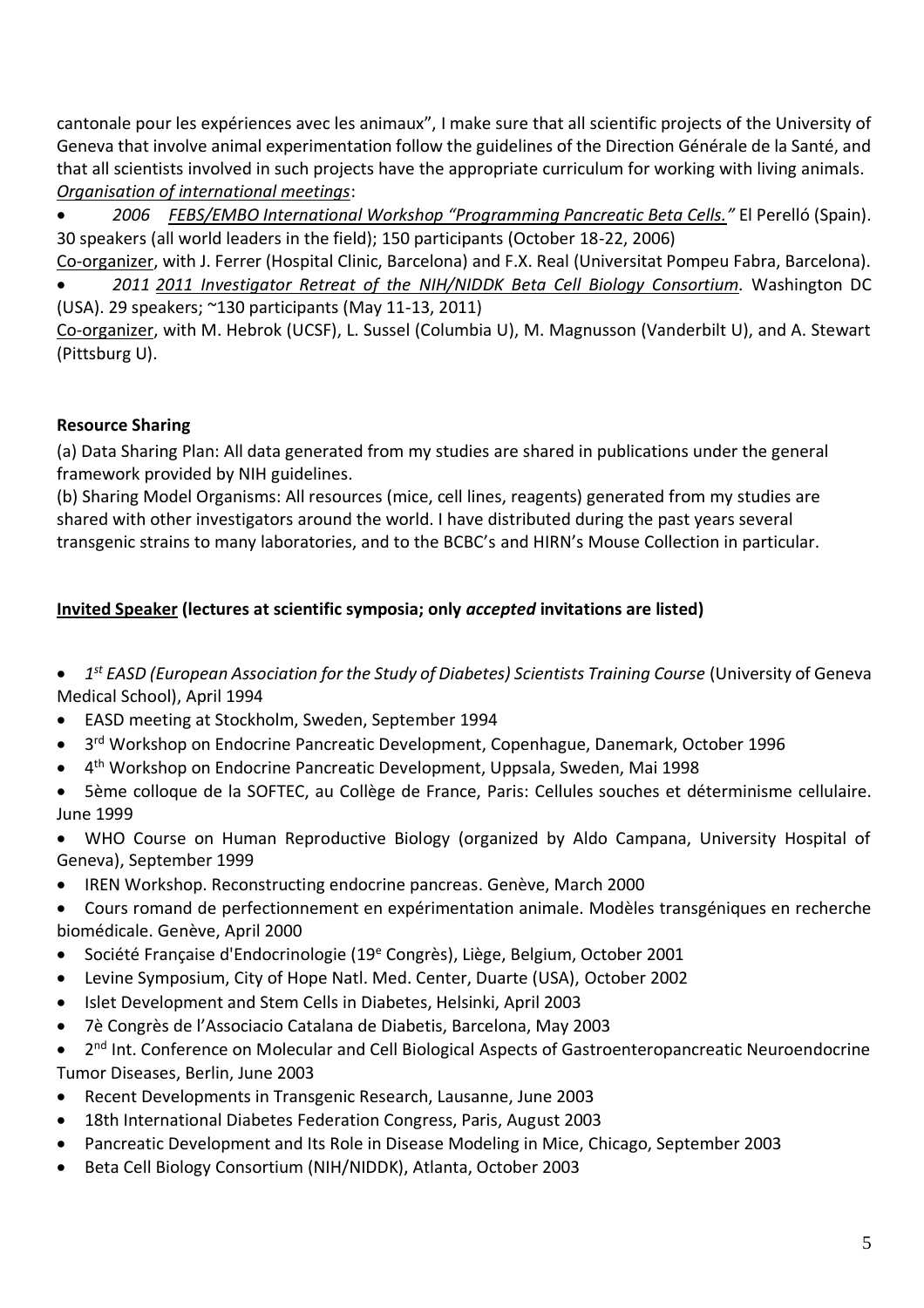cantonale pour les expériences avec les animaux", I make sure that all scientific projects of the University of Geneva that involve animal experimentation follow the guidelines of the Direction Générale de la Santé, and that all scientists involved in such projects have the appropriate curriculum for working with living animals. *Organisation of international meetings*:

• *2006 FEBS/EMBO International Workshop "Programming Pancreatic Beta Cells."* El Perelló (Spain). 30 speakers (all world leaders in the field); 150 participants (October 18-22, 2006)

Co-organizer, with J. Ferrer (Hospital Clinic, Barcelona) and F.X. Real (Universitat Pompeu Fabra, Barcelona).

• *2011 2011 Investigator Retreat of the NIH/NIDDK Beta Cell Biology Consortium.* Washington DC (USA). 29 speakers; ~130 participants (May 11-13, 2011)

Co-organizer, with M. Hebrok (UCSF), L. Sussel (Columbia U), M. Magnusson (Vanderbilt U), and A. Stewart (Pittsburg U).

# **Resource Sharing**

(a) Data Sharing Plan: All data generated from my studies are shared in publications under the general framework provided by NIH guidelines.

(b) Sharing Model Organisms: All resources (mice, cell lines, reagents) generated from my studies are shared with other investigators around the world. I have distributed during the past years several transgenic strains to many laboratories, and to the BCBC's and HIRN's Mouse Collection in particular.

# **Invited Speaker (lectures at scientific symposia; only** *accepted* **invitations are listed)**

- $\bullet$ *st EASD (European Association for the Study of Diabetes) Scientists Training Course* (University of Geneva Medical School), April 1994
- EASD meeting at Stockholm, Sweden, September 1994
- $\bullet$ 3<sup>rd</sup> Workshop on Endocrine Pancreatic Development, Copenhague, Danemark, October 1996
- 4<sup>th</sup> Workshop on Endocrine Pancreatic Development, Uppsala, Sweden, Mai 1998
- 5ème colloque de la SOFTEC, au Collège de France, Paris: Cellules souches et déterminisme cellulaire. June 1999
- WHO Course on Human Reproductive Biology (organized by Aldo Campana, University Hospital of Geneva), September 1999
- IREN Workshop. Reconstructing endocrine pancreas. Genève, March 2000
- Cours romand de perfectionnement en expérimentation animale. Modèles transgéniques en recherche biomédicale. Genève, April 2000
- Société Française d'Endocrinologie (19<sup>e</sup> Congrès), Liège, Belgium, October 2001
- Levine Symposium, City of Hope Natl. Med. Center, Duarte (USA), October 2002
- Islet Development and Stem Cells in Diabetes, Helsinki, April 2003
- 7è Congrès de l'Associacio Catalana de Diabetis, Barcelona, May 2003
- 2<sup>nd</sup> Int. Conference on Molecular and Cell Biological Aspects of Gastroenteropancreatic Neuroendocrine Tumor Diseases, Berlin, June 2003
- Recent Developments in Transgenic Research, Lausanne, June 2003
- 18th International Diabetes Federation Congress, Paris, August 2003
- Pancreatic Development and Its Role in Disease Modeling in Mice, Chicago, September 2003
- Beta Cell Biology Consortium (NIH/NIDDK), Atlanta, October 2003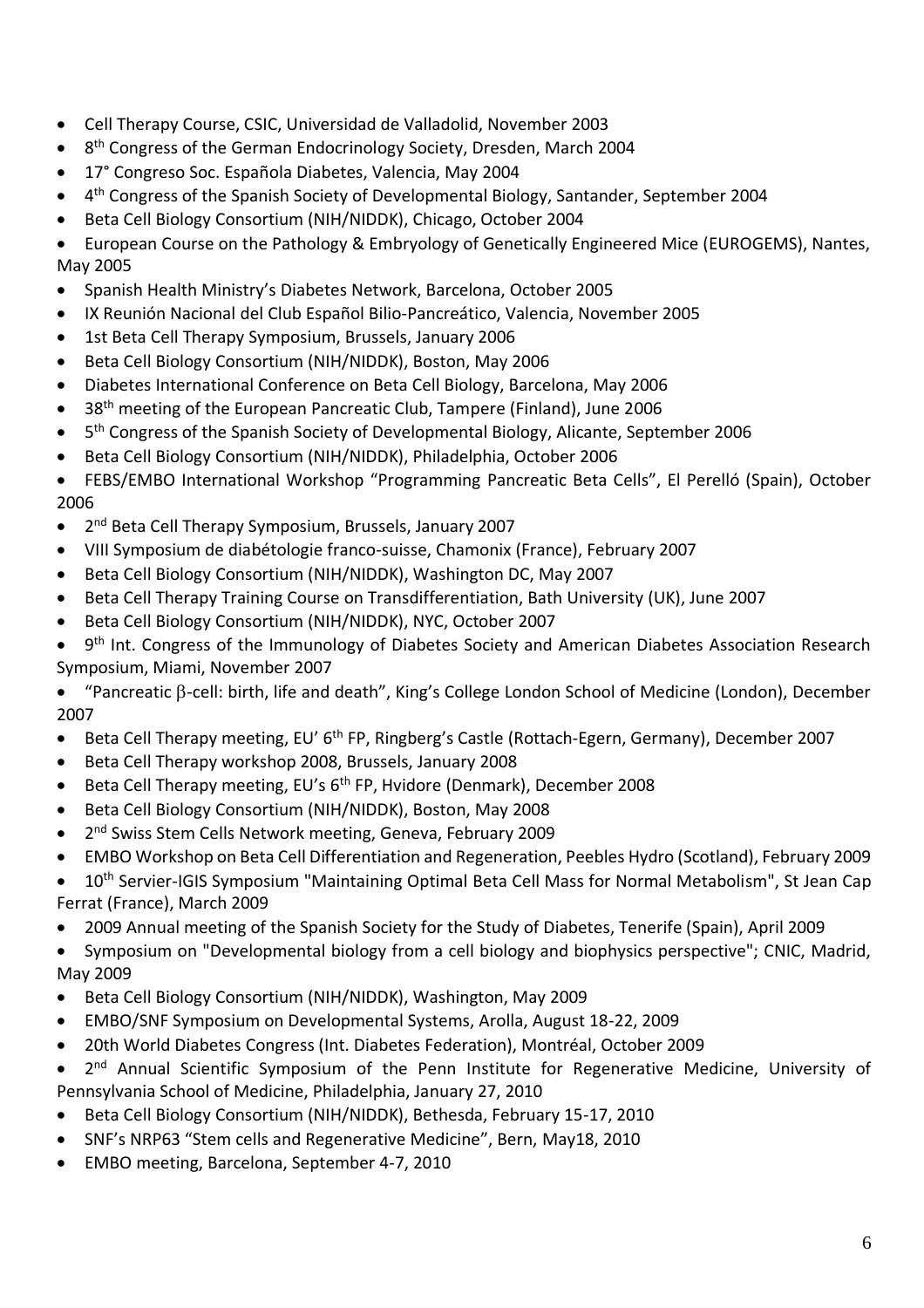- Cell Therapy Course, CSIC, Universidad de Valladolid, November 2003
- 8<sup>th</sup> Congress of the German Endocrinology Society, Dresden, March 2004
- 17° Congreso Soc. Española Diabetes, Valencia, May 2004
- 4<sup>th</sup> Congress of the Spanish Society of Developmental Biology, Santander, September 2004
- Beta Cell Biology Consortium (NIH/NIDDK), Chicago, October 2004

• European Course on the Pathology & Embryology of Genetically Engineered Mice (EUROGEMS), Nantes, May 2005

- Spanish Health Ministry's Diabetes Network, Barcelona, October 2005
- IX Reunión Nacional del Club Español Bilio-Pancreático, Valencia, November 2005
- 1st Beta Cell Therapy Symposium, Brussels, January 2006
- Beta Cell Biology Consortium (NIH/NIDDK), Boston, May 2006
- Diabetes International Conference on Beta Cell Biology, Barcelona, May 2006
- 38<sup>th</sup> meeting of the European Pancreatic Club, Tampere (Finland), June 2006
- $\bullet$ 5<sup>th</sup> Congress of the Spanish Society of Developmental Biology, Alicante, September 2006
- Beta Cell Biology Consortium (NIH/NIDDK), Philadelphia, October 2006

• FEBS/EMBO International Workshop "Programming Pancreatic Beta Cells", El Perelló (Spain), October 2006

- 2<sup>nd</sup> Beta Cell Therapy Symposium, Brussels, January 2007
- VIII Symposium de diabétologie franco-suisse, Chamonix (France), February 2007
- Beta Cell Biology Consortium (NIH/NIDDK), Washington DC, May 2007
- Beta Cell Therapy Training Course on Transdifferentiation, Bath University (UK), June 2007
- Beta Cell Biology Consortium (NIH/NIDDK), NYC, October 2007

• 9<sup>th</sup> Int. Congress of the Immunology of Diabetes Society and American Diabetes Association Research Symposium, Miami, November 2007

- "Pancreatic  $\beta$ -cell: birth, life and death", King's College London School of Medicine (London), December 2007
- Beta Cell Therapy meeting, EU' 6<sup>th</sup> FP, Ringberg's Castle (Rottach-Egern, Germany), December 2007
- Beta Cell Therapy workshop 2008, Brussels, January 2008
- Beta Cell Therapy meeting, EU's 6<sup>th</sup> FP, Hvidore (Denmark), December 2008
- Beta Cell Biology Consortium (NIH/NIDDK), Boston, May 2008
- $\bullet$ 2<sup>nd</sup> Swiss Stem Cells Network meeting, Geneva, February 2009
- EMBO Workshop on Beta Cell Differentiation and Regeneration, Peebles Hydro (Scotland), February 2009
- 10<sup>th</sup> Servier-IGIS Symposium "Maintaining Optimal Beta Cell Mass for Normal Metabolism", St Jean Cap Ferrat (France), March 2009
- 2009 Annual meeting of the Spanish Society for the Study of Diabetes, Tenerife (Spain), April 2009

• Symposium on "Developmental biology from a cell biology and biophysics perspective"; CNIC, Madrid, May 2009

- Beta Cell Biology Consortium (NIH/NIDDK), Washington, May 2009
- EMBO/SNF Symposium on Developmental Systems, Arolla, August 18-22, 2009
- 20th World Diabetes Congress (Int. Diabetes Federation), Montréal, October 2009

• 2<sup>nd</sup> Annual Scientific Symposium of the Penn Institute for Regenerative Medicine, University of Pennsylvania School of Medicine, Philadelphia, January 27, 2010

- Beta Cell Biology Consortium (NIH/NIDDK), Bethesda, February 15-17, 2010
- SNF's NRP63 "Stem cells and Regenerative Medicine", Bern, May18, 2010
- EMBO meeting, Barcelona, September 4-7, 2010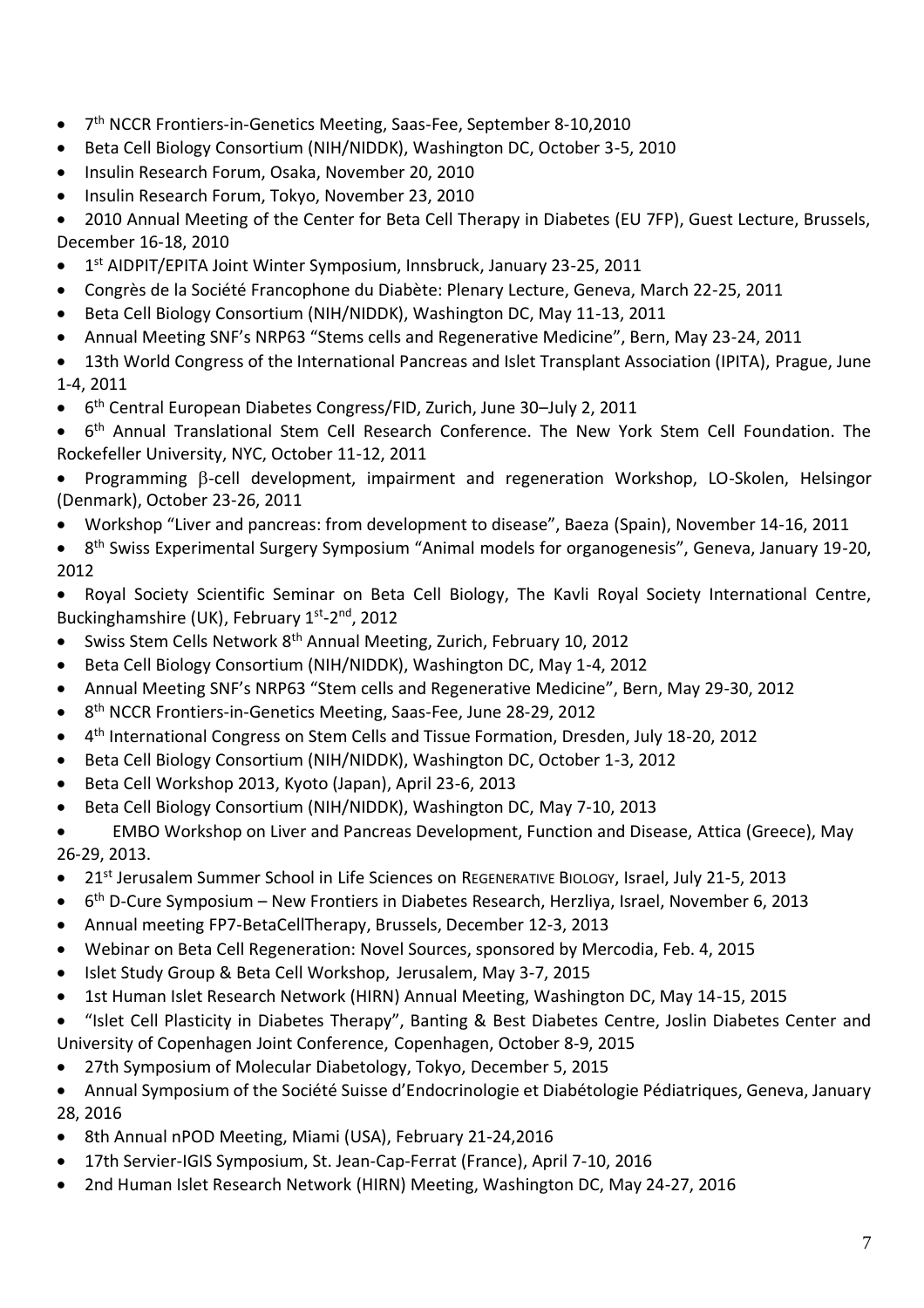- 7<sup>th</sup> NCCR Frontiers-in-Genetics Meeting, Saas-Fee, September 8-10,2010
- Beta Cell Biology Consortium (NIH/NIDDK), Washington DC, October 3-5, 2010
- Insulin Research Forum, Osaka, November 20, 2010
- Insulin Research Forum, Tokyo, November 23, 2010

• 2010 Annual Meeting of the Center for Beta Cell Therapy in Diabetes (EU 7FP), Guest Lecture, Brussels, December 16-18, 2010

- 1<sup>st</sup> AIDPIT/EPITA Joint Winter Symposium, Innsbruck, January 23-25, 2011
- Congrès de la Société Francophone du Diabète: Plenary Lecture, Geneva, March 22-25, 2011
- Beta Cell Biology Consortium (NIH/NIDDK), Washington DC, May 11-13, 2011
- Annual Meeting SNF's NRP63 "Stems cells and Regenerative Medicine", Bern, May 23-24, 2011
- 13th World Congress of the International Pancreas and Islet Transplant Association (IPITA), Prague, June 1-4, 2011
- 6<sup>th</sup> Central European Diabetes Congress/FID, Zurich, June 30-July 2, 2011

• 6<sup>th</sup> Annual Translational Stem Cell Research Conference. The New York Stem Cell Foundation. The Rockefeller University, NYC, October 11-12, 2011

- Programming  $\beta$ -cell development, impairment and regeneration Workshop, LO-Skolen, Helsingor (Denmark), October 23-26, 2011
- Workshop "Liver and pancreas: from development to disease", Baeza (Spain), November 14-16, 2011
- 8<sup>th</sup> Swiss Experimental Surgery Symposium "Animal models for organogenesis", Geneva, January 19-20, 2012

• Royal Society Scientific Seminar on Beta Cell Biology, The Kavli Royal Society International Centre, Buckinghamshire (UK), February 1<sup>st</sup>-2<sup>nd</sup>, 2012

- Swiss Stem Cells Network 8<sup>th</sup> Annual Meeting, Zurich, February 10, 2012
- Beta Cell Biology Consortium (NIH/NIDDK), Washington DC, May 1-4, 2012
- Annual Meeting SNF's NRP63 "Stem cells and Regenerative Medicine", Bern, May 29-30, 2012
- 8<sup>th</sup> NCCR Frontiers-in-Genetics Meeting, Saas-Fee, June 28-29, 2012
- 4<sup>th</sup> International Congress on Stem Cells and Tissue Formation, Dresden, July 18-20, 2012
- Beta Cell Biology Consortium (NIH/NIDDK), Washington DC, October 1-3, 2012
- Beta Cell Workshop 2013, Kyoto (Japan), April 23-6, 2013
- Beta Cell Biology Consortium (NIH/NIDDK), Washington DC, May 7-10, 2013
- EMBO Workshop on Liver and Pancreas Development, Function and Disease, Attica (Greece), May 26-29, 2013.
- 21<sup>st</sup> Jerusalem Summer School in Life Sciences on REGENERATIVE BIOLOGY, Israel, July 21-5, 2013
- 6<sup>th</sup> D-Cure Symposium New Frontiers in Diabetes Research, Herzliya, Israel, November 6, 2013
- Annual meeting FP7-BetaCellTherapy, Brussels, December 12-3, 2013
- Webinar on Beta Cell Regeneration: Novel Sources, sponsored by Mercodia, Feb. 4, 2015
- Islet Study Group & Beta Cell Workshop, Jerusalem, May 3-7, 2015
- 1st Human Islet Research Network (HIRN) Annual Meeting, Washington DC, May 14-15, 2015
- "Islet Cell Plasticity in Diabetes Therapy", Banting & Best Diabetes Centre, Joslin Diabetes Center and University of Copenhagen Joint Conference, Copenhagen, October 8-9, 2015
- 27th Symposium of Molecular Diabetology, Tokyo, December 5, 2015
- Annual Symposium of the Société Suisse d'Endocrinologie et Diabétologie Pédiatriques, Geneva, January 28, 2016
- 8th Annual nPOD Meeting, Miami (USA), February 21-24,2016
- 17th Servier-IGIS Symposium, St. Jean-Cap-Ferrat (France), April 7-10, 2016
- 2nd Human Islet Research Network (HIRN) Meeting, Washington DC, May 24-27, 2016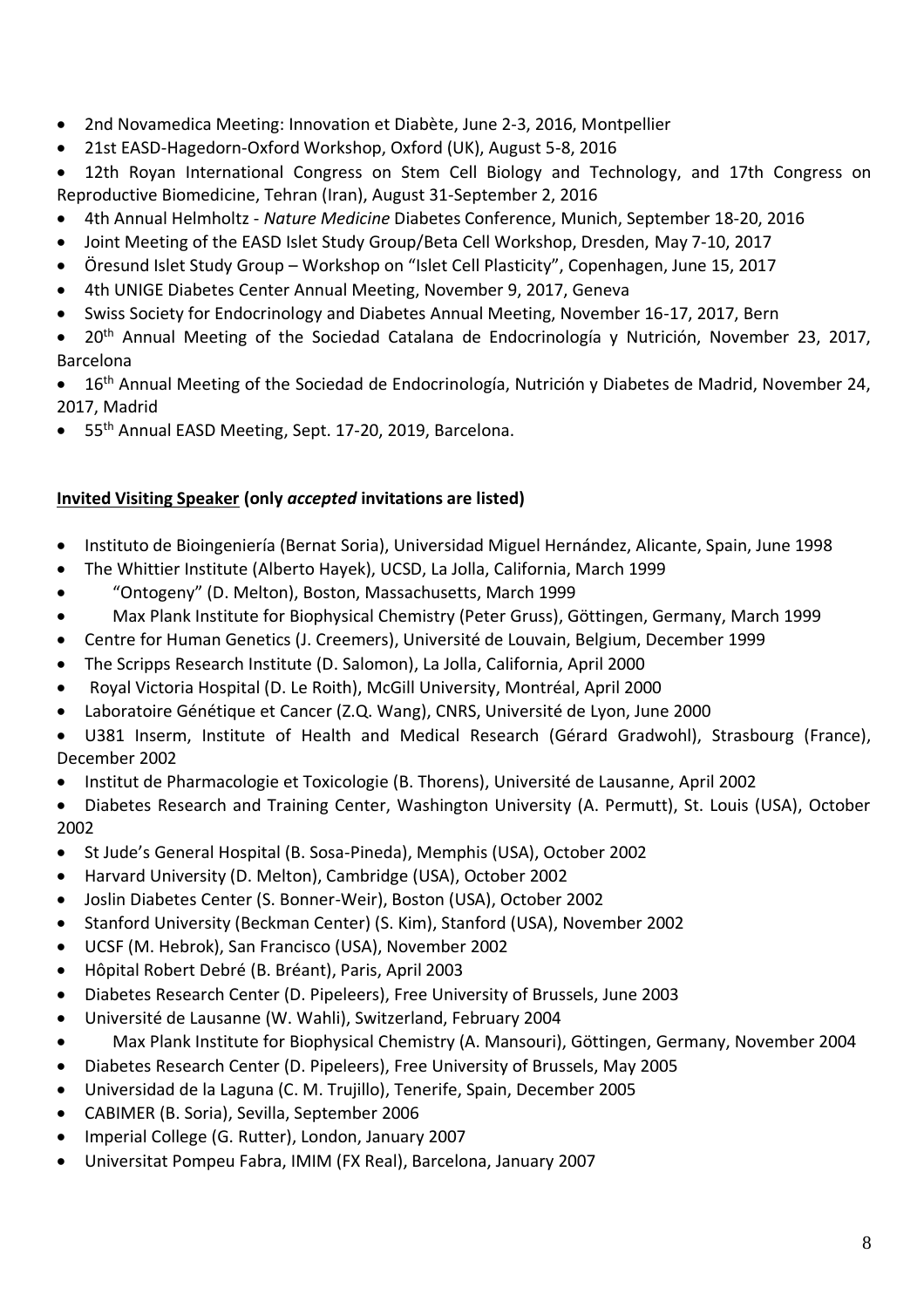- 2nd Novamedica Meeting: Innovation et Diabète, June 2-3, 2016, Montpellier
- 21st EASD-Hagedorn-Oxford Workshop, Oxford (UK), August 5-8, 2016
- 12th Royan International Congress on Stem Cell Biology and Technology, and 17th Congress on Reproductive Biomedicine, Tehran (Iran), August 31-September 2, 2016
- 4th Annual Helmholtz *Nature Medicine* Diabetes Conference, Munich, September 18-20, 2016
- Joint Meeting of the EASD Islet Study Group/Beta Cell Workshop, Dresden, May 7-10, 2017
- Öresund Islet Study Group Workshop on "Islet Cell Plasticity", Copenhagen, June 15, 2017
- 4th UNIGE Diabetes Center Annual Meeting, November 9, 2017, Geneva
- Swiss Society for Endocrinology and Diabetes Annual Meeting, November 16-17, 2017, Bern
- 20<sup>th</sup> Annual Meeting of the Sociedad Catalana de Endocrinología y Nutrición, November 23, 2017, Barcelona

• 16<sup>th</sup> Annual Meeting of the Sociedad de Endocrinología, Nutrición y Diabetes de Madrid, November 24, 2017, Madrid

55<sup>th</sup> Annual EASD Meeting, Sept. 17-20, 2019, Barcelona.

#### **Invited Visiting Speaker (only** *accepted* **invitations are listed)**

- Instituto de Bioingeniería (Bernat Soria), Universidad Miguel Hernández, Alicante, Spain, June 1998
- The Whittier Institute (Alberto Hayek), UCSD, La Jolla, California, March 1999
- "Ontogeny" (D. Melton), Boston, Massachusetts, March 1999
- Max Plank Institute for Biophysical Chemistry (Peter Gruss), Göttingen, Germany, March 1999
- Centre for Human Genetics (J. Creemers), Université de Louvain, Belgium, December 1999
- The Scripps Research Institute (D. Salomon), La Jolla, California, April 2000
- Royal Victoria Hospital (D. Le Roith), McGill University, Montréal, April 2000
- Laboratoire Génétique et Cancer (Z.Q. Wang), CNRS, Université de Lyon, June 2000
- U381 Inserm, Institute of Health and Medical Research (Gérard Gradwohl), Strasbourg (France), December 2002
- Institut de Pharmacologie et Toxicologie (B. Thorens), Université de Lausanne, April 2002
- Diabetes Research and Training Center, Washington University (A. Permutt), St. Louis (USA), October 2002
- St Jude's General Hospital (B. Sosa-Pineda), Memphis (USA), October 2002
- Harvard University (D. Melton), Cambridge (USA), October 2002
- Joslin Diabetes Center (S. Bonner-Weir), Boston (USA), October 2002
- Stanford University (Beckman Center) (S. Kim), Stanford (USA), November 2002
- UCSF (M. Hebrok), San Francisco (USA), November 2002
- Hôpital Robert Debré (B. Bréant), Paris, April 2003
- Diabetes Research Center (D. Pipeleers), Free University of Brussels, June 2003
- Université de Lausanne (W. Wahli), Switzerland, February 2004
- Max Plank Institute for Biophysical Chemistry (A. Mansouri), Göttingen, Germany, November 2004
- Diabetes Research Center (D. Pipeleers), Free University of Brussels, May 2005
- Universidad de la Laguna (C. M. Trujillo), Tenerife, Spain, December 2005
- CABIMER (B. Soria), Sevilla, September 2006
- Imperial College (G. Rutter), London, January 2007
- Universitat Pompeu Fabra, IMIM (FX Real), Barcelona, January 2007